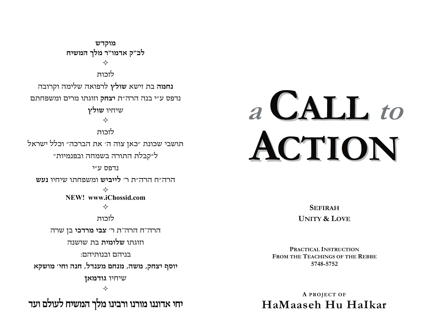מוקדש לכ"ק אדמו"ר מלך המשיח  $\rightsquigarrow$ לזכות **נחמה** בת זישא **שולץ** לרפואה שלימה וקרובה נדפס ע״י בנה הרה״ת יצחק וזוגתו מרים ומשפחתם שיחיו שולץ ♦ לזכות תושבי שכונת "כאן צוה ה' את הברכה" וכלל ישראל ל"קבלת התורה בשמחה ובפנמיות" נדפס ע״י הרה״ח הרה״ת ר׳ לייביש ומשפחתו שיחיו נעש NEW! www.iChossid.com ❖ לזכות הרה"ח הרה"ת ר' צבי מרדכי בן שרה וזוגתו **שלומית** בת שושנה בניהם ובנותיהם: יוסף יצחק, משה, מנחם מענדל, חנה וחי׳ מושקא שיחיו גודמאן ❖ יחי אדוננו מורנו ורבינו מלך המשיח לעולם ועד

# a CALL to ACTION

FROM THE TEACHINGS OF THE REBBE 5748-5752

PRACTICAL INSTRUCTION

**SEFIRAH** 

**UNITY & LOVE** 

A PROJECT OF HaMaaseh Hu HaIkar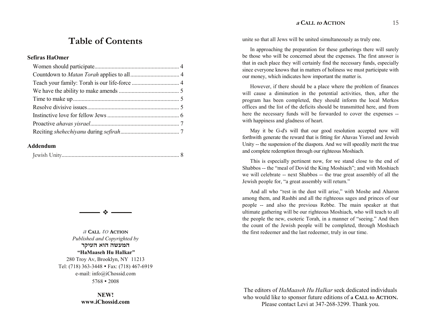#### **<sup>a</sup> CALL to ACTION** 15

## **Table of Contents**

#### **Sefiras HaOmer**

#### **Addendum**

|--|--|--|--|--|--|



**<sup>a</sup> CALL to ACTION** *Published and Copyrighted by*  המעשה הוא העיקר  **HaMaaseh Hu HaIkar**  280 Troy Av, Brooklyn, NY 11213 Tel: (718) 363-3448 � Fax: (718) 467-6919 e-mail: info@iChossid.com 5768 � 2008

> **NEW! www.iChossid.com**

unite so that all Jews will be united simultaneously as truly one.

In approaching the preparation for these gatherings there will surely be those who will be concerned about the expenses. The first answer is that in each place they will certainly find the necessary funds, especially since everyone knows that in matters of holiness we must participate with our money, which indicates how important the matter is.

However, if there should be a place where the problem of finances will cause a diminution in the potential activities, then, after the program has been completed, they should inform the local Merkos offices and the list of the deficits should be transmitted here, and from here the necessary funds will be forwarded to cover the expenses - with happiness and gladness of heart.

May it be G-d's will that our good resolution accepted now will forthwith generate the reward that is fitting for Ahavas Yisroel and Jewish Unity -- the suspension of the diaspora. And we will speedily merit the true and complete redemption through our righteous Moshiach.

This is especially pertinent now, for we stand close to the end of Shabbos -- the "meal of Dovid the King Moshiach"; and with Moshiach we will celebrate -- next Shabbos -- the true great assembly of all the Jewish people for, "a great assembly will return."

And all who "rest in the dust will arise," with Moshe and Aharon among them, and Rashbi and all the righteous sages and princes of our people -- and also the previous Rebbe. The main speaker at that ultimate gathering will be our righteous Moshiach, who will teach to all the people the new, esoteric Torah, in a manner of "seeing." And then the count of the Jewish people will be completed, through Moshiach the first redeemer and the last redeemer, truly in our time.

The editors of *HaMaaseh Hu HaIkar* seek dedicated individuals who would like to sponsor future editions of **a CALL to ACTION.** Please contact Levi at 347-268-3299. Thank you.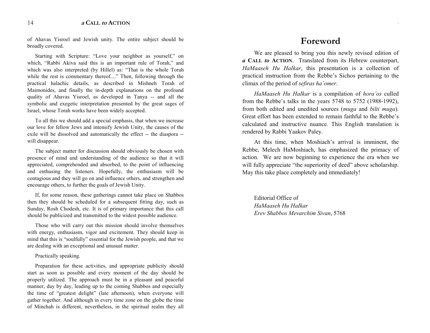of Ahavas Yisroel and Jewish unity. The entire subject should be broadly covered.

Starting with Scripture: "Love your neighbor as yourself," on which, "Rabbi Akiva said this is an important rule of Torah," and which was also interpreted (by Hillel) as: "That is the whole Torah while the rest is commentary thereof...." Then, following through the practical halachic details, as described in Mishneh Torah of Maimonides, and finally the in-depth explanations on the profound quality of Ahavas Yisroel, as developed in Tanya -- and all the symbolic and exegetic interpretation presented by the great sages of Israel, whose Torah works have been widely accepted.

To all this we should add a special emphasis, that when we increase our love for fellow Jews and intensify Jewish Unity, the causes of the exile will be dissolved and automatically the effect -- the diaspora - will disappear.

The subject matter for discussion should obviously be chosen with presence of mind and understanding of the audience so that it will appreciated, comprehended and absorbed, to the point of influencing and enthusing the listeners. Hopefully, the enthusiasm will be contagious and they will go on and influence others, and strengthen and encourage others, to further the goals of Jewish Unity.

If, for some reason, these gatherings cannot take place on Shabbos then they should be scheduled for a subsequent fitting day, such as Sunday, Rosh Chodesh, etc. It is of primary importance that this call should be publicized and transmitted to the widest possible audience.

Those who will carry out this mission should involve themselves with energy, enthusiasm, vigor and excitement. They should keep in mind that this is "soulfully" essential for the Jewish people, and that we are dealing with an exceptional and unusual matter.

#### Practically speaking.

Preparation for these activities, and appropriate publicity should start as soon as possible and every moment of the day should be properly utilized. The approach must be in a pleasant and peaceful manner, day by day, leading up to the coming Shabbos and especially the time of "greatest delight" (late afternoon), when everyone will gather together. And although in every time zone on the globe the time of Minchah is different, nevertheless, in the spiritual realm they all

### **Foreword**

**<sup>a</sup> CALL to ACTION** 3

We are pleased to bring you this newly revised edition of *a* **CALL** *to* **ACTION**. Translated from its Hebrew counterpart, *HaMaaseh Hu HaIkar*, this presentation is a collection of practical instruction from the Rebbe's Sichos pertaining to the climax of the period of *sefiras ha'omer*.

*HaMaaseh Hu HaIkar* is a compilation of *hora'os* culled from the Rebbe's talks in the years  $5748$  to  $5752$  (1988-1992), from both edited and unedited sources (*muga* and *bilti muga*). Great effort has been extended to remain faithful to the Rebbe's calculated and instructive nuance. This English translation is rendered by Rabbi Yaakov Paley.

At this time, when Moshiach's arrival is imminent, the Rebbe, Melech HaMoshiach, has emphasized the primacy of action. We are now beginning to experience the era when we will fully appreciate "the superiority of deed" above scholarship. May this take place completely and immediately!

Editorial Office of *HaMaaseh Hu HaIkar Erev Shabbos Mevarchim Sivan*, 5768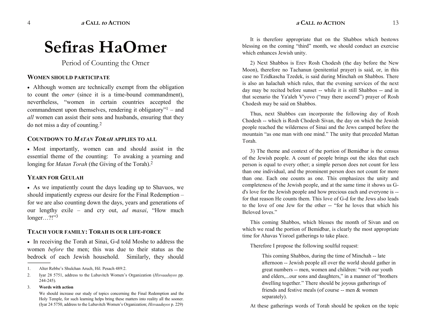**<sup>a</sup> CALL to ACTION** 13

# **Sefiras HaOmer**

Period of Counting the Omer

#### **WOMEN SHOULD PARTICIPATE**

� Although women are technically exempt from the obligation to count the *omer* (since it is a time-bound commandment), nevertheless, "women in certain countries accepted the commandment upon themselves, rendering it obligatory" $1 -$  and *all* women can assist their sons and husbands, ensuring that they do not miss a day of counting.2

#### **COUNTDOWN TO** *MATAN TORAH* **APPLIES TO ALL**

• Most importantly, women can and should assist in the essential theme of the counting: To awaking a yearning and longing for *Matan Torah* (the Giving of the Torah).<sup>2</sup>

#### **YEARN FOR GEULAH**

� As we impatiently count the days leading up to Shavuos, we should impatiently express our desire for the Final Redemption for we are also counting down the days, years and generations of our lengthy exile – and cry out, *ad masai*, "How much longer...?!" $3$ 

#### **TEACH YOUR FAMILY: TORAH IS OUR LIFE-FORCE**

� In receiving the Torah at Sinai, G-d told Moshe to address the women *before* the men; this was due to their status as the bedrock of each Jewish household. Similarly, they should

2. Iyar 28 5751, address to the Lubavitch Women's Organization (*Hisvaaduyos* pp. 244-245).

#### 3. **Words with action**

------------------------------------------------

We should increase our study of topics concerning the Final Redemption and the Holy Temple, for such learning helps bring these matters into reality all the sooner. (Iyar 24 5750, address to the Lubavitch Women's Organization; *Hisvaaduyos* p. 229)

It is therefore appropriate that on the Shabbos which bestows blessing on the coming "third" month, we should conduct an exercise which enhances Jewish unity.

2) Next Shabbos is Erev Rosh Chodesh (the day before the New Moon), therefore no Tachanun (penitential prayer) is said, or, in this case no Tzidkascha Tzedek, is said during Minchah on Shabbos. There is also an halachah which rules, that the evening services of the next day may be recited before sunset -- while it is still Shabbos -- and in that scenario the Ya'aleh V'yovo ("may there ascend") prayer of Rosh Chodesh may be said on Shabbos.

Thus, next Shabbos can incorporate the following day of Rosh Chodesh -- which is Rosh Chodesh Sivan, the day on which the Jewish people reached the wilderness of Sinai and the Jews camped before the mountain "as one man with one mind." The unity that preceded Mattan Torah.

3) The theme and context of the portion of Bemidbar is the census of the Jewish people. A count of people brings out the idea that each person is equal to every other; a simple person does not count for less than one individual, and the prominent person does not count for more than one. Each one counts as one. This emphasizes the unity and completeness of the Jewish people, and at the same time it shows us Gd's love for the Jewish people and how precious each and everyone is - for that reason He counts them. This love of G-d for the Jews also leads to the love of one Jew for the other -- "for he loves that which his Beloved loves."

This coming Shabbos, which blesses the month of Sivan and on which we read the portion of Bemidbar, is clearly the most appropriate time for Ahavas Yisroel gatherings to take place.

Therefore I propose the following soulful request:

This coming Shabbos, during the time of Minchah -- late afternoon -- Jewish people all over the world should gather in great numbers -- men, women and children: "with our youth and elders,...our sons and daughters," in a manner of "brothers" dwelling together." There should be joyous gatherings of friends and festive meals (of course -- men & women separately).

At these gatherings words of Torah should be spoken on the topic

<sup>1.</sup> Alter Rebbe's Shulchan Aruch, Hil. Pesach 489:2.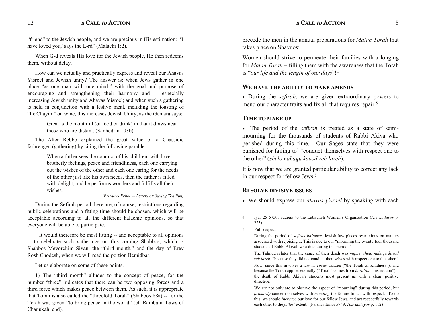"friend" to the Jewish people, and we are precious in His estimation: "I have loved you,' says the L-rd" (Malachi 1:2).

When G-d reveals His love for the Jewish people, He then redeems them, without delay.

How can we actually and practically express and reveal our Ahavas Yisroel and Jewish unity? The answer is: when Jews gather in one place "as one man with one mind," with the goal and purpose of encouraging and strengthening their harmony and -- especially increasing Jewish unity and Ahavas Yisroel; and when such a gathering is held in conjunction with a festive meal, including the toasting of "Le'Chayim" on wine, this increases Jewish Unity, as the Gemara says:

> Great is the mouthful (of food or drink) in that it draws near those who are distant. (Sanhedrin 103b)

The Alter Rebbe explained the great value of a Chassidic farbrengen (gathering) by citing the following parable:

> When a father sees the conduct of his children, with love, brotherly feelings, peace and friendliness, each one carrying out the wishes of the other and each one caring for the needs of the other just like his own needs, then the father is filled with delight, and he performs wonders and fulfills all their wishes.

#### *(Previous Rebbe -- Letters on Saying Tehillim)*

During the Sefirah period there are, of course, restrictions regarding public celebrations and a fitting time should be chosen, which will be acceptable according to all the different halachic opinions, so that everyone will be able to participate.

It would therefore be most fitting -- and acceptable to all opinions -- to celebrate such gatherings on this coming Shabbos, which is Shabbos Mevorchim Sivan, the "third month," and the day of Erev Rosh Chodesh, when we will read the portion Bemidbar.

Let us elaborate on some of these points.

1) The "third month" alludes to the concept of peace, for the number "three" indicates that there can be two opposing forces and a third force which makes peace between them. As such, it is appropriate that Torah is also called the "threefold Torah" (Shabbos 88a) -- for the Torah was given "to bring peace in the world" (cf. Rambam, Laws of Chanukah, end).

precede the men in the annual preparations for *Matan Torah* that takes place on Shavuos:

Women should strive to permeate their families with a longing for *Matan Torah* – filling them with the awareness that the Torah is "our life and the length of our days"!<sup>4</sup>

#### **WE HAVE THE ABILITY TO MAKE AMENDS**

� During the *sefirah*, we are given extraordinary powers to mend our character traits and fix all that requires repair.<sup>5</sup>

#### **TIME TO MAKE UP**

� [The period of the *sefirah* is treated as a state of semimourning for the thousands of students of Rabbi Akiva who perished during this time. Our Sages state that they were punished for failing to] "conduct themselves with respect one to the other" (*shelo nahagu kavod zeh lazeh*).

It is now that we are granted particular ability to correct any lack in our respect for fellow Jews.5

#### **RESOLVE DIVISIVE ISSUES**

� We should express our *ahavas yisrael* by speaking with each

5. **Full respect**

------------------------------------------------

During the period of *sefiras ha'omer*, Jewish law places restrictions on matters associated with rejoicing ... This is due to our "mourning the twenty four thousand students of Rabbi Akivah who died during this period.

The Talmud relates that the cause of their death was *mipnei shelo nahagu kavod*  zeh lazeh, "because they did not conduct themselves with respect one to the other."

Now, since this involves a law in *Toras Chesed* ("the Torah of Kindness"), and because the Torah applies eternally ("Torah" comes from *hora'ah*, "instruction") – the death of Rabbi Akiva's students must present us with a clear, positive directive:

We are not only are to observe the aspect of "mourning" during this period, but *primarily* concern ourselves with *mending* the failure to act with respect. To do this, we should *increase* our love for our fellow Jews, and act respectfully towards each other to the *fullest* extent. (Parshas Emor 5749; *Hisvaaduyos* p. 112)

<sup>4.</sup> Iyar 25 5750, address to the Lubavitch Women's Organization (*Hisvaaduyos* p. 223).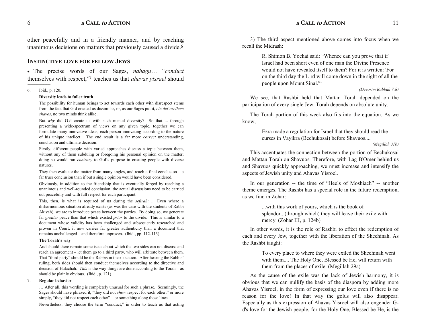other peacefully and in a friendly manner, and by reaching unanimous decisions on matters that previously caused a divide.<sup>6</sup>

#### **INSTINCTIVE LOVE FOR FELLOW JEWS**

• The precise words of our Sages, *nahagu conduct* themselves with respect,"7 teaches us that *ahavas yisrael* should

#### 6. Ibid., p. 120.

#### **Diversity leads to fuller truth**

The possibility for human beings to act towards each other with disrespect stems from the fact that G-d created us dissimilar, or, as our Sages put it, *ein deioseihem shavos*, no two minds think alike ...

But *why* did G-d create us with such mental diversity? So that ... through presenting a wide-spectrum of views on any given topic, together we can formulate many innovative ideas; each person innovating according to the nature of his unique intellect. The end result is a far more *correct* understanding, conclusion and ultimate decision:

 Firstly, different people with varied approaches discuss a topic between them, without any of them subduing or foregoing his personal opinion on the matter; doing so would run *contrary* to G-d's purpose in creating people with diverse natures.

They then evaluate the matter from many angles, and reach a final conclusion  $-$  a far truer conclusion than if but a single opinion would have been considered.

 Obviously, in addition to the friendship that is eventually forged by reaching a unanimous and well-rounded conclusion, the actual discussions need to be carried out peacefully and with full respect for each participant.

 This, then, is what is required of us during the *sefirah*: ... Even where a disharmonious situation already exists (as was the case with the students of Rabbi Akivah), we are to introduce peace between the parties. By doing so, we generate far *greater* peace than that which existed *prior* to the divide. This is similar to a document whose validity has been challenged and subsequently researched and proven in Court; it now carries far greater authenticity than a document that remains unchallenged  $-$  and therefore unproven. (Ibid., pp. 112-113)

#### The Torah's way

And should there remain some issue about which the two sides can not discuss and reach an agreement – let them go to a third party, who will arbitrate between them. That "third party" should be the Rabbis in their location. After hearing the Rabbis' ruling, both sides should then conduct themselves according to the directive and decision of Halachah. *This* is the way things are done according to the Torah – as should be plainly obvious. (Ibid., p. 121)

#### 7. **Regular behavior**

 After all, this wording is completely unusual for such a phrase. Seemingly, the Sages should have phrased it, "they did not *show* respect for each other," or more simply, "they did not respect each other"  $-$  or something along those lines.

Nevertheless, they choose the term "conduct," in order to teach us that acting

3) The third aspect mentioned above comes into focus when we recall the Midrash:

> R. Shimon B. Yochai said: Whence can you prove that if Israel had been short even of one man the Divine Presence would not have revealed itself to them? For it is written: 'For on the third day the L-rd will come down in the sight of all the people upon Mount Sinai.'

#### *(Devorim Rabbah 7:8)*

We see, that Rashbi held that Mattan Torah depended on the participation of every single Jew. Torah depends on absolute unity.

The Torah portion of this week also fits into the equation. As we know,

> Ezra made a regulation for Israel that they should read the curses in Vayikra (Bechukosai) before Shavuos....

*(Megillah 31b)* 

This accentuates the connection between the portion of Bechukosai and Mattan Torah on Shavuos. Therefore, with Lag B'Omer behind us and Shavuos quickly approaching, we must increase and intensify the aspects of Jewish unity and Ahavas Yisroel.

In our generation -- the time of "Heels of Moshiach" -- another theme emerges. The Rashbi has a special role in the future redemption, as we find in Zohar:

> ...with this work of yours, which is the book of splendor...(through which) they will leave their exile with mercy. (Zohar III, p. 124b)

In other words, it is the role of Rashbi to effect the redemption of each and every Jew, together with the liberation of the Shechinah. As the Rashbi taught:

> To every place to where they were exiled the Shechinah went with them.... The Holy One, Blessed be He, will return with them from the places of exile. (Megillah 29a)

As the cause of the exile was the lack of Jewish harmony, it is obvious that we can nullify the basis of the diaspora by adding more Ahavas Yisroel, in the form of expressing our love even if there is no reason for the love! In that way the golus will also disappear. Especially as this expression of Ahavas Yisroel will also engender Gd's love for the Jewish people, for the Holy One, Blessed be He, is the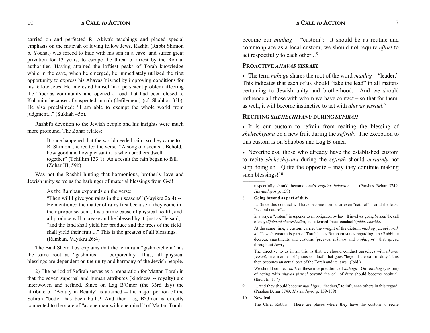carried on and perfected R. Akiva's teachings and placed special emphasis on the mitzvah of loving fellow Jews. Rashbi (Rabbi Shimon b. Yochai) was forced to hide with his son in a cave, and suffer great privation for 13 years, to escape the threat of arrest by the Roman authorities. Having attained the loftiest peaks of Torah knowledge while in the cave, when he emerged, he immediately utilized the first opportunity to express his Ahavas Yisroel by improving conditions for his fellow Jews. He interested himself in a persistent problem affecting the Tiberias community and opened a road that had been closed to Kohanim because of suspected tumah (defilement) (cf. Shabbos 33b). He also proclaimed: "I am able to exempt the whole world from judgment..." (Sukkah 45b).

Rashbi's devotion to the Jewish people and his insights were much more profound. The Zohar relates:

> It once happened that the world needed rain...so they came to R. Shimon...he recited the verse: "A song of ascents ...Behold, how good and how pleasant it is when brothers dwell together" (Tehillim 133:1). As a result the rain began to fall. (Zohar III, 59b)

Was not the Rashbi hinting that harmonious, brotherly love and Jewish unity serve as the harbinger of material blessings from G-d!

As the Ramban expounds on the verse:

"Then will I give you rains in their seasons" (Vayikra  $26:4$ ) --He mentioned the matter of rains first because if they come in their proper season...it is a prime cause of physical health, and all produce will increase and be blessed by it, just as He said, "and the land shall yield her produce and the trees of the field shall yield their fruit...." This is the greatest of all blessings. (Ramban, Vayikra 26:4)

The Baal Shem Tov explains that the term rain "gishmeichem" has the same root as "gashmius" -- corporeality. Thus, all physical blessings are dependent on the unity and harmony of the Jewish people.

2) The period of Sefirah serves as a preparation for Mattan Torah in that the seven supernal and human attributes (kindness -- royalty) are interwoven and refined. Since on Lag B'Omer (the 33rd day) the attribute of "Beauty in Beauty" is attained -- the major portion of the Sefirah "body" has been built. $*$  And then Lag B'Omer is directly connected to the state of "as one man with one mind," of Mattan Torah.

become our *minhag* – "custom": It should be as routine and commonplace as a local custom; we should not require *effort* to act respectfully to each other...8

#### **PROACTIVE** *AHAVAS YISRAEL*

 $\bullet$  The term *nahagu* shares the root of the word *manhig* – "leader." This indicates that each of us should "take the lead" in all matters pertaining to Jewish unity and brotherhood. And we should influence all those with whom we have contact  $-$  so that for them. as well, it will become instinctive to act with *ahavas yisrael*. 9

#### **RECITING** *SHEHECHIYANU* **DURING** *SEFIRAH*

� It is our custom to refrain from reciting the blessing of *shehechiyanu* on a new fruit during the *sefirah*. The exception to this custom is on Shabbos and Lag B'omer.

� Nevertheless, those who already have the established custom to recite *shehechiyanu* during the *sefirah* should *certainly* not stop doing so. Quite the opposite  $-$  may they continue making such blessings!<sup>10</sup>

----------------------------------------------- respectfully should become one's *regular behavior* ... (Parshas Behar 5749; *Hisvaaduyos* p. 158)

#### 8. **Going beyond as part of duty**

 $\ldots$  Since this conduct will have become normal or even "natural" – or at the least, "second nature"...

In a way, a "custom" is superior to an obligation by law. It involves going *beyond* the call of duty (*lifnim mishuras hadin*), and is termed pious conduct (*midas chasidus*).

At the same time, a custom carries the weight of the dictum, *minhag yisrael torah*   $hi$ , "Jewish custom is part of Torah"  $-$  as Rambam states regarding "the Rabbinic decrees, enactments and customs (*gezeros*, *takanos* and *minhagim*)" that spread throughout Jewry.

 The directive to us in all this, is that we should conduct ourselves with *ahavas yisrael*, in a manner of "pious conduct" that goes "beyond the call of duty"; this then becomes an actual part of the Torah and its laws. (Ibid.)

 We should connect *both* of these interpretations of *nahagu*: Our *minhag* (custom) of acting with *ahavas yisrael* beyond the call of duty should become habitual. (Ibid., fn. 117)

- 9. ... And they should become *manhigim*, "leaders," to influence others in this regard. (Parshas Behar 5749; *Hisvaaduyos* p. 159-159)
- 10. **New fruit**

The Chief Rabbis: There are places where they have the custom to recite